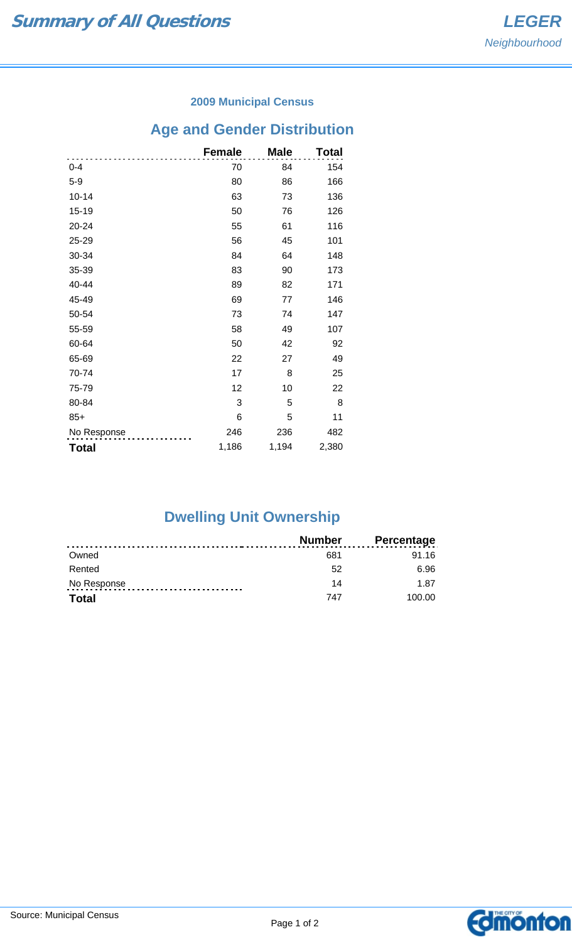### **2009 Municipal Census**

# **Age and Gender Distribution**

|              | <b>Female</b> | <b>Male</b> | Total |
|--------------|---------------|-------------|-------|
| $0 - 4$      | 70            | 84          | 154   |
| $5-9$        | 80            | 86          | 166   |
| $10 - 14$    | 63            | 73          | 136   |
| 15-19        | 50            | 76          | 126   |
| 20-24        | 55            | 61          | 116   |
| 25-29        | 56            | 45          | 101   |
| 30-34        | 84            | 64          | 148   |
| 35-39        | 83            | 90          | 173   |
| 40-44        | 89            | 82          | 171   |
| 45-49        | 69            | 77          | 146   |
| 50-54        | 73            | 74          | 147   |
| 55-59        | 58            | 49          | 107   |
| 60-64        | 50            | 42          | 92    |
| 65-69        | 22            | 27          | 49    |
| 70-74        | 17            | 8           | 25    |
| 75-79        | 12            | 10          | 22    |
| 80-84        | 3             | 5           | 8     |
| $85+$        | 6             | 5           | 11    |
| No Response  | 246           | 236         | 482   |
| <b>Total</b> | 1,186         | 1,194       | 2,380 |

# **Dwelling Unit Ownership**

|              | <b>Number</b> | <b>Percentage</b> |
|--------------|---------------|-------------------|
| Owned        | 681           | 91.16             |
| Rented       | 52            | 6.96              |
| No Response  | 14            | 1.87              |
| <b>Total</b> | 747           | 100.00            |